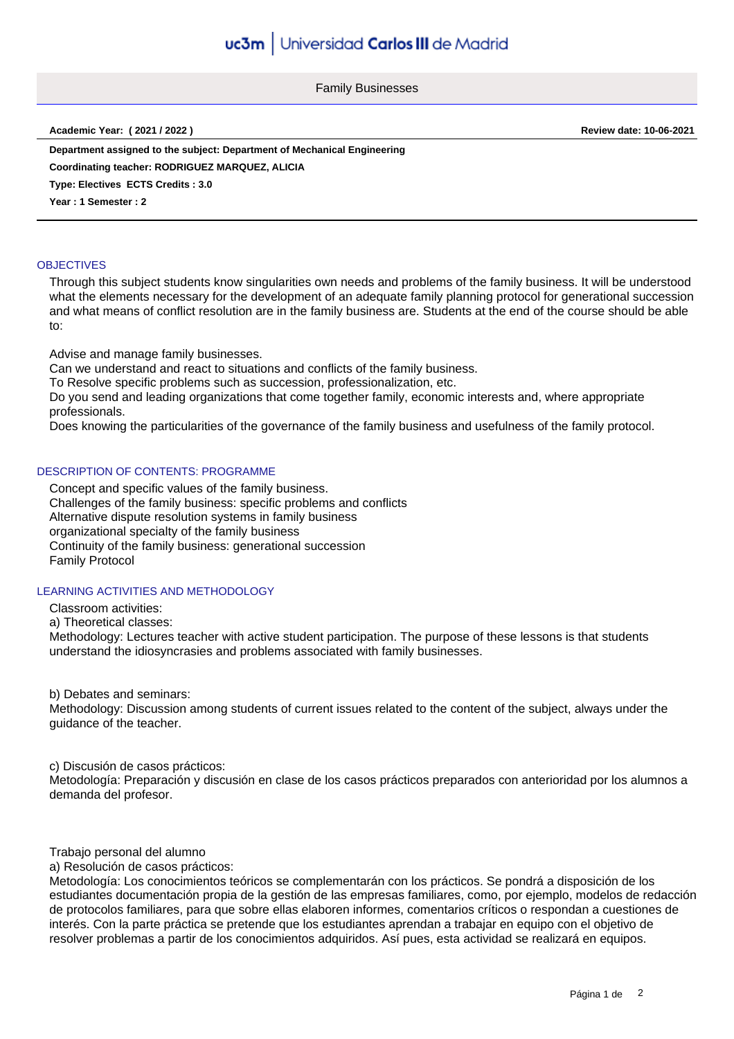Family Businesses

**Academic Year: ( 2021 / 2022 ) Review date: 10-06-2021**

**Department assigned to the subject: Department of Mechanical Engineering Coordinating teacher: RODRIGUEZ MARQUEZ, ALICIA**

**Type: Electives ECTS Credits : 3.0**

**Year : 1 Semester : 2**

#### **OBJECTIVES**

Through this subject students know singularities own needs and problems of the family business. It will be understood what the elements necessary for the development of an adequate family planning protocol for generational succession and what means of conflict resolution are in the family business are. Students at the end of the course should be able to:

Advise and manage family businesses.

Can we understand and react to situations and conflicts of the family business.

To Resolve specific problems such as succession, professionalization, etc.

Do you send and leading organizations that come together family, economic interests and, where appropriate professionals.

Does knowing the particularities of the governance of the family business and usefulness of the family protocol.

### DESCRIPTION OF CONTENTS: PROGRAMME

Concept and specific values of the family business. Challenges of the family business: specific problems and conflicts Alternative dispute resolution systems in family business organizational specialty of the family business Continuity of the family business: generational succession Family Protocol

### LEARNING ACTIVITIES AND METHODOLOGY

Classroom activities:

a) Theoretical classes:

Methodology: Lectures teacher with active student participation. The purpose of these lessons is that students understand the idiosyncrasies and problems associated with family businesses.

b) Debates and seminars:

Methodology: Discussion among students of current issues related to the content of the subject, always under the guidance of the teacher.

c) Discusión de casos prácticos: Metodología: Preparación y discusión en clase de los casos prácticos preparados con anterioridad por los alumnos a demanda del profesor.

Trabajo personal del alumno

a) Resolución de casos prácticos:

Metodología: Los conocimientos teóricos se complementarán con los prácticos. Se pondrá a disposición de los estudiantes documentación propia de la gestión de las empresas familiares, como, por ejemplo, modelos de redacción de protocolos familiares, para que sobre ellas elaboren informes, comentarios críticos o respondan a cuestiones de interés. Con la parte práctica se pretende que los estudiantes aprendan a trabajar en equipo con el objetivo de resolver problemas a partir de los conocimientos adquiridos. Así pues, esta actividad se realizará en equipos.